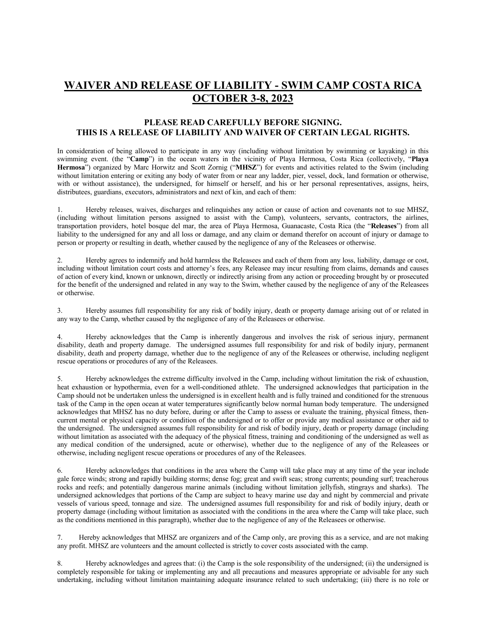## **WAIVER AND RELEASE OF LIABILITY - SWIM CAMP COSTA RICA OCTOBER 3-8, 2023**

## **PLEASE READ CAREFULLY BEFORE SIGNING. THIS IS A RELEASE OF LIABILITY AND WAIVER OF CERTAIN LEGAL RIGHTS.**

In consideration of being allowed to participate in any way (including without limitation by swimming or kayaking) in this swimming event. (the "**Camp**") in the ocean waters in the vicinity of Playa Hermosa, Costa Rica (collectively, "**Playa Hermosa**") organized by Marc Horwitz and Scott Zornig ("**MHSZ**") for events and activities related to the Swim (including without limitation entering or exiting any body of water from or near any ladder, pier, vessel, dock, land formation or otherwise, with or without assistance), the undersigned, for himself or herself, and his or her personal representatives, assigns, heirs, distributees, guardians, executors, administrators and next of kin, and each of them:

1. Hereby releases, waives, discharges and relinquishes any action or cause of action and covenants not to sue MHSZ, (including without limitation persons assigned to assist with the Camp), volunteers, servants, contractors, the airlines, transportation providers, hotel bosque del mar, the area of Playa Hermosa, Guanacaste, Costa Rica (the "**Releases**") from all liability to the undersigned for any and all loss or damage, and any claim or demand therefor on account of injury or damage to person or property or resulting in death, whether caused by the negligence of any of the Releasees or otherwise.

2. Hereby agrees to indemnify and hold harmless the Releasees and each of them from any loss, liability, damage or cost, including without limitation court costs and attorney's fees, any Releasee may incur resulting from claims, demands and causes of action of every kind, known or unknown, directly or indirectly arising from any action or proceeding brought by or prosecuted for the benefit of the undersigned and related in any way to the Swim, whether caused by the negligence of any of the Releasees or otherwise.

3. Hereby assumes full responsibility for any risk of bodily injury, death or property damage arising out of or related in any way to the Camp, whether caused by the negligence of any of the Releasees or otherwise.

4. Hereby acknowledges that the Camp is inherently dangerous and involves the risk of serious injury, permanent disability, death and property damage. The undersigned assumes full responsibility for and risk of bodily injury, permanent disability, death and property damage, whether due to the negligence of any of the Releasees or otherwise, including negligent rescue operations or procedures of any of the Releasees.

5. Hereby acknowledges the extreme difficulty involved in the Camp, including without limitation the risk of exhaustion, heat exhaustion or hypothermia, even for a well-conditioned athlete. The undersigned acknowledges that participation in the Camp should not be undertaken unless the undersigned is in excellent health and is fully trained and conditioned for the strenuous task of the Camp in the open ocean at water temperatures significantly below normal human body temperature. The undersigned acknowledges that MHSZ has no duty before, during or after the Camp to assess or evaluate the training, physical fitness, thencurrent mental or physical capacity or condition of the undersigned or to offer or provide any medical assistance or other aid to the undersigned. The undersigned assumes full responsibility for and risk of bodily injury, death or property damage (including without limitation as associated with the adequacy of the physical fitness, training and conditioning of the undersigned as well as any medical condition of the undersigned, acute or otherwise), whether due to the negligence of any of the Releasees or otherwise, including negligent rescue operations or procedures of any of the Releasees.

6. Hereby acknowledges that conditions in the area where the Camp will take place may at any time of the year include gale force winds; strong and rapidly building storms; dense fog; great and swift seas; strong currents; pounding surf; treacherous rocks and reefs; and potentially dangerous marine animals (including without limitation jellyfish, stingrays and sharks). The undersigned acknowledges that portions of the Camp are subject to heavy marine use day and night by commercial and private vessels of various speed, tonnage and size. The undersigned assumes full responsibility for and risk of bodily injury, death or property damage (including without limitation as associated with the conditions in the area where the Camp will take place, such as the conditions mentioned in this paragraph), whether due to the negligence of any of the Releasees or otherwise.

7. Hereby acknowledges that MHSZ are organizers and of the Camp only, are proving this as a service, and are not making any profit. MHSZ are volunteers and the amount collected is strictly to cover costs associated with the camp.

8. Hereby acknowledges and agrees that: (i) the Camp is the sole responsibility of the undersigned; (ii) the undersigned is completely responsible for taking or implementing any and all precautions and measures appropriate or advisable for any such undertaking, including without limitation maintaining adequate insurance related to such undertaking; (iii) there is no role or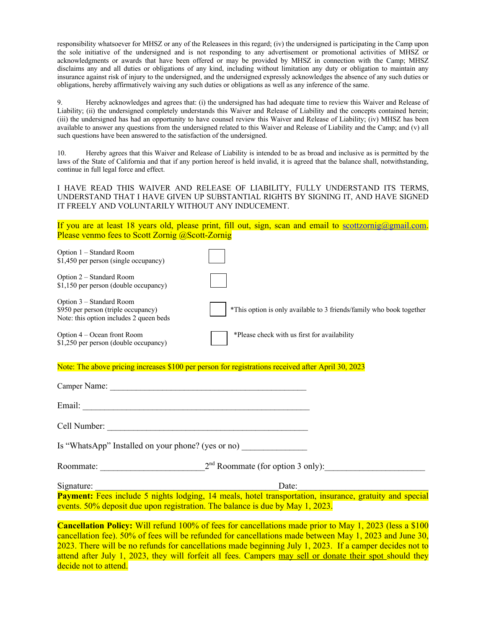responsibility whatsoever for MHSZ or any of the Releasees in this regard; (iv) the undersigned is participating in the Camp upon the sole initiative of the undersigned and is not responding to any advertisement or promotional activities of MHSZ or acknowledgments or awards that have been offered or may be provided by MHSZ in connection with the Camp; MHSZ disclaims any and all duties or obligations of any kind, including without limitation any duty or obligation to maintain any insurance against risk of injury to the undersigned, and the undersigned expressly acknowledges the absence of any such duties or obligations, hereby affirmatively waiving any such duties or obligations as well as any inference of the same.

9. Hereby acknowledges and agrees that: (i) the undersigned has had adequate time to review this Waiver and Release of Liability; (ii) the undersigned completely understands this Waiver and Release of Liability and the concepts contained herein; (iii) the undersigned has had an opportunity to have counsel review this Waiver and Release of Liability; (iv) MHSZ has been available to answer any questions from the undersigned related to this Waiver and Release of Liability and the Camp; and (v) all such questions have been answered to the satisfaction of the undersigned.

10. Hereby agrees that this Waiver and Release of Liability is intended to be as broad and inclusive as is permitted by the laws of the State of California and that if any portion hereof is held invalid, it is agreed that the balance shall, notwithstanding, continue in full legal force and effect.

I HAVE READ THIS WAIVER AND RELEASE OF LIABILITY, FULLY UNDERSTAND ITS TERMS, UNDERSTAND THAT I HAVE GIVEN UP SUBSTANTIAL RIGHTS BY SIGNING IT, AND HAVE SIGNED IT FREELY AND VOLUNTARILY WITHOUT ANY INDUCEMENT.

If you are at least 18 years old, please print, fill out, sign, scan and email to scottzornig@gmail.com. Please venmo fees to Scott Zornig @Scott-Zornig

| Option 1 - Standard Room<br>\$1,450 per person (single occupancy)                                          |                                                                                                                                                                                                                                                                                                                                                                                                                                                   |
|------------------------------------------------------------------------------------------------------------|---------------------------------------------------------------------------------------------------------------------------------------------------------------------------------------------------------------------------------------------------------------------------------------------------------------------------------------------------------------------------------------------------------------------------------------------------|
| Option 2 - Standard Room<br>\$1,150 per person (double occupancy)                                          |                                                                                                                                                                                                                                                                                                                                                                                                                                                   |
| Option 3 - Standard Room<br>\$950 per person (triple occupancy)<br>Note: this option includes 2 queen beds | *This option is only available to 3 friends/family who book together                                                                                                                                                                                                                                                                                                                                                                              |
| Option 4 – Ocean front Room<br>\$1,250 per person (double occupancy)                                       | *Please check with us first for availability                                                                                                                                                                                                                                                                                                                                                                                                      |
|                                                                                                            | Note: The above pricing increases \$100 per person for registrations received after April 30, 2023                                                                                                                                                                                                                                                                                                                                                |
|                                                                                                            |                                                                                                                                                                                                                                                                                                                                                                                                                                                   |
|                                                                                                            |                                                                                                                                                                                                                                                                                                                                                                                                                                                   |
|                                                                                                            |                                                                                                                                                                                                                                                                                                                                                                                                                                                   |
| Is "WhatsApp" Installed on your phone? (yes or no)                                                         |                                                                                                                                                                                                                                                                                                                                                                                                                                                   |
|                                                                                                            | Roommate: $2nd$ Roommate (for option 3 only):                                                                                                                                                                                                                                                                                                                                                                                                     |
|                                                                                                            |                                                                                                                                                                                                                                                                                                                                                                                                                                                   |
|                                                                                                            | Signature: Signature: Signature: Signature: Signature: Signature: Signature: Signature: Signature: Eves include 5 nights lodging, 14 meals, hotel transportation, insurance, gratuity and special<br>events. 50% deposit due upon registration. The balance is due by May 1, 2023.                                                                                                                                                                |
|                                                                                                            | <b>Cancellation Policy:</b> Will refund 100% of fees for cancellations made prior to May 1, 2023 (less a \$100<br>cancellation fee). 50% of fees will be refunded for cancellations made between May 1, 2023 and June 30,<br>2023. There will be no refunds for cancellations made beginning July 1, 2023. If a camper decides not to<br>attend after July 1, 2023, they will forfeit all fees. Campers may sell or donate their spot should they |

decide not to attend.